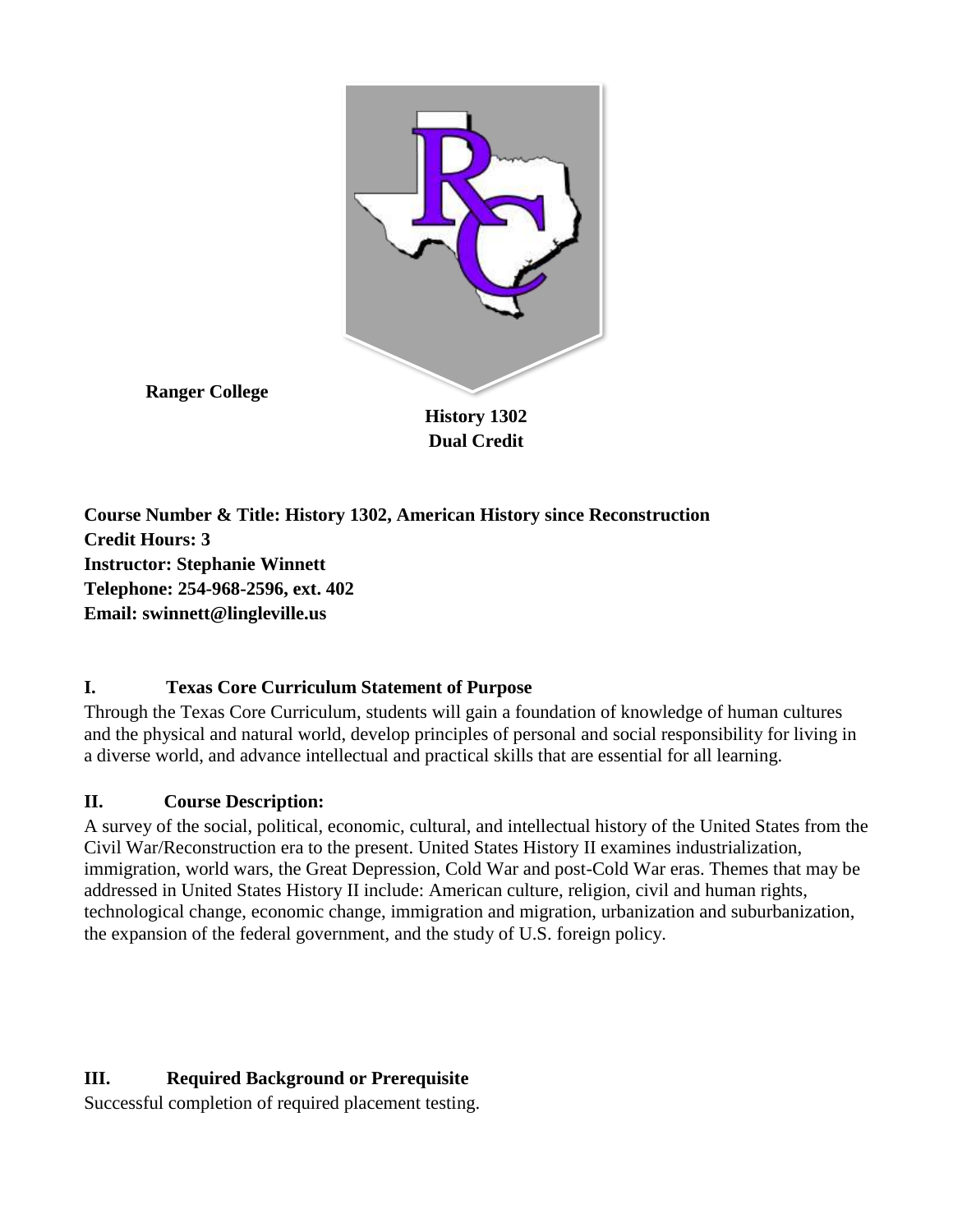

**Ranger College**

**History 1302 Dual Credit**

**Course Number & Title: History 1302, American History since Reconstruction Credit Hours: 3 Instructor: Stephanie Winnett Telephone: 254-968-2596, ext. 402 Email: swinnett@lingleville.us**

# **I. Texas Core Curriculum Statement of Purpose**

Through the Texas Core Curriculum, students will gain a foundation of knowledge of human cultures and the physical and natural world, develop principles of personal and social responsibility for living in a diverse world, and advance intellectual and practical skills that are essential for all learning.

# **II. Course Description:**

A survey of the social, political, economic, cultural, and intellectual history of the United States from the Civil War/Reconstruction era to the present. United States History II examines industrialization, immigration, world wars, the Great Depression, Cold War and post-Cold War eras. Themes that may be addressed in United States History II include: American culture, religion, civil and human rights, technological change, economic change, immigration and migration, urbanization and suburbanization, the expansion of the federal government, and the study of U.S. foreign policy.

# **III. Required Background or Prerequisite**

Successful completion of required placement testing.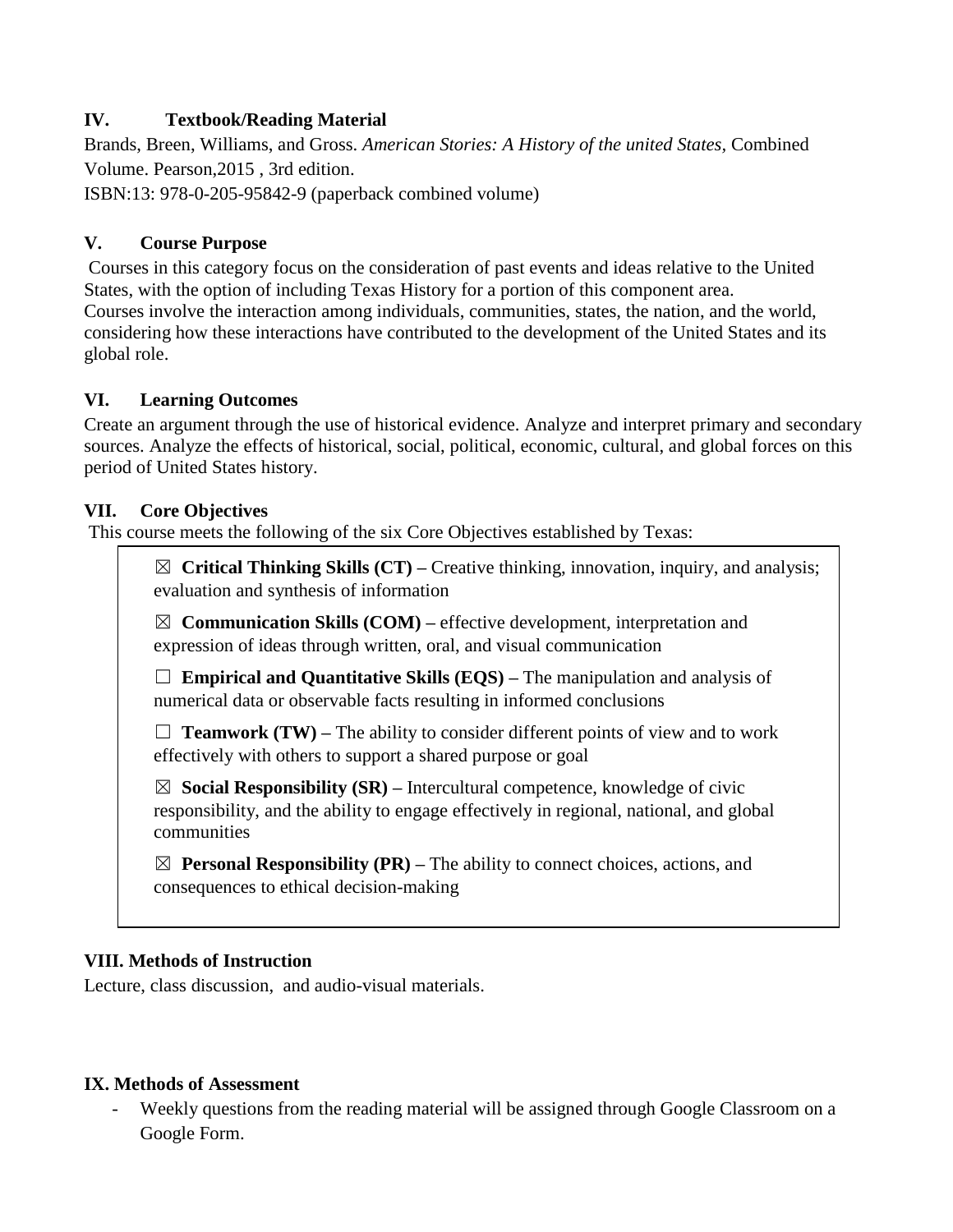## **IV. Textbook/Reading Material**

Brands, Breen, Williams, and Gross. *American Stories: A History of the united States,* Combined Volume. Pearson,2015 , 3rd edition.

ISBN:13: 978-0-205-95842-9 (paperback combined volume)

#### **V. Course Purpose**

Courses in this category focus on the consideration of past events and ideas relative to the United States, with the option of including Texas History for a portion of this component area. Courses involve the interaction among individuals, communities, states, the nation, and the world, considering how these interactions have contributed to the development of the United States and its global role.

#### **VI. Learning Outcomes**

Create an argument through the use of historical evidence. Analyze and interpret primary and secondary sources. Analyze the effects of historical, social, political, economic, cultural, and global forces on this period of United States history.

#### **VII. Core Objectives**

This course meets the following of the six Core Objectives established by Texas:

☒ **Critical Thinking Skills (CT) –** Creative thinking, innovation, inquiry, and analysis; evaluation and synthesis of information

 $\boxtimes$  **Communication Skills (COM)** – effective development, interpretation and expression of ideas through written, oral, and visual communication

☐ **Empirical and Quantitative Skills (EQS) –** The manipulation and analysis of numerical data or observable facts resulting in informed conclusions

 $\Box$  **Teamwork (TW)** – The ability to consider different points of view and to work effectively with others to support a shared purpose or goal

☒ **Social Responsibility (SR) –** Intercultural competence, knowledge of civic responsibility, and the ability to engage effectively in regional, national, and global communities

 $\boxtimes$  **Personal Responsibility (PR)** – The ability to connect choices, actions, and consequences to ethical decision-making

#### **VIII. Methods of Instruction**

Lecture, class discussion, and audio-visual materials.

#### **IX. Methods of Assessment**

- Weekly questions from the reading material will be assigned through Google Classroom on a Google Form.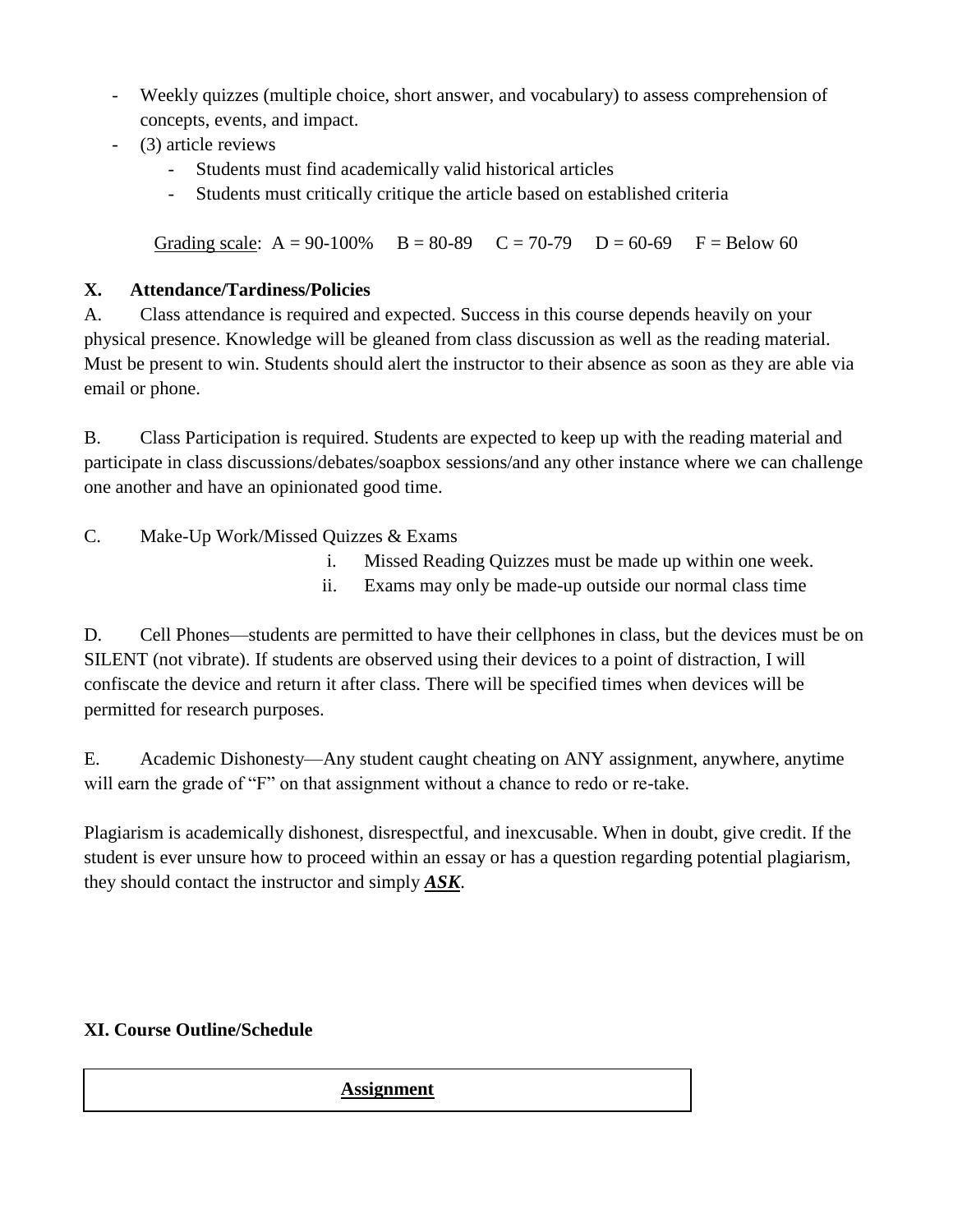- Weekly quizzes (multiple choice, short answer, and vocabulary) to assess comprehension of concepts, events, and impact.
- (3) article reviews
	- Students must find academically valid historical articles
	- Students must critically critique the article based on established criteria

Grading scale:  $A = 90-100\%$   $B = 80-89$   $C = 70-79$   $D = 60-69$   $F = Below 60$ 

### **X. Attendance/Tardiness/Policies**

A. Class attendance is required and expected. Success in this course depends heavily on your physical presence. Knowledge will be gleaned from class discussion as well as the reading material. Must be present to win. Students should alert the instructor to their absence as soon as they are able via email or phone.

B. Class Participation is required. Students are expected to keep up with the reading material and participate in class discussions/debates/soapbox sessions/and any other instance where we can challenge one another and have an opinionated good time.

C. Make-Up Work/Missed Quizzes & Exams

- i. Missed Reading Quizzes must be made up within one week.
- ii. Exams may only be made-up outside our normal class time

D. Cell Phones—students are permitted to have their cellphones in class, but the devices must be on SILENT (not vibrate). If students are observed using their devices to a point of distraction, I will confiscate the device and return it after class. There will be specified times when devices will be permitted for research purposes.

E. Academic Dishonesty—Any student caught cheating on ANY assignment, anywhere, anytime will earn the grade of "F" on that assignment without a chance to redo or re-take.

Plagiarism is academically dishonest, disrespectful, and inexcusable. When in doubt, give credit. If the student is ever unsure how to proceed within an essay or has a question regarding potential plagiarism, they should contact the instructor and simply *ASK*.

## **XI. Course Outline/Schedule**

#### **Assignment**